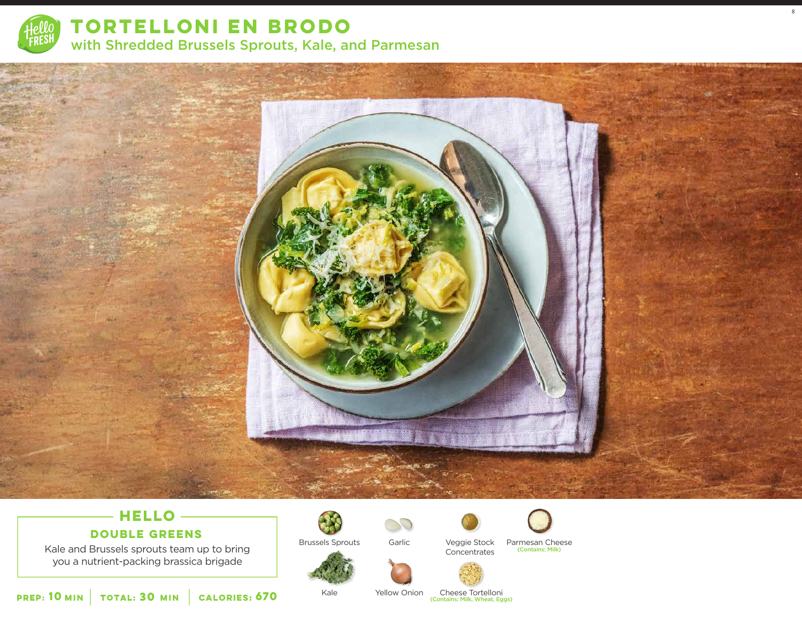

**TORTELLONI EN BRODO**  with Shredded Brussels Sprouts, Kale, and Parmesan



# **HELLO**

### **DOUBLE GREENS**

Kale and Brussels sprouts team up to bring you a nutrient-packing brassica brigade



Kale









8

Garlic Veggie Stock Parmesan Cheese Veggie Stock Concentrates (Contains: Milk)







Yellow Onion

Cheese Tortelloni